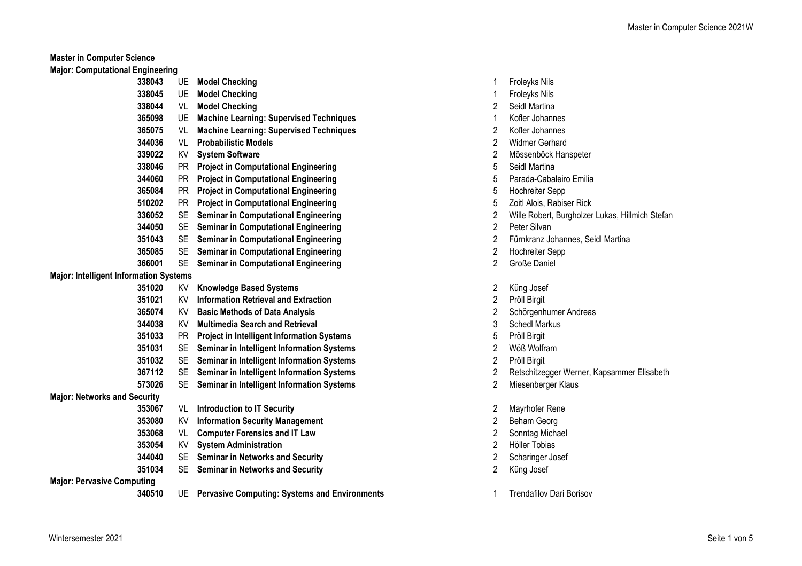**Master in Computer Science**

**Major: Computational Engineering**

|                                               | 338043<br>UE        | <b>Model Checking</b>                             | 1              | <b>Froleyks Nils</b>            |
|-----------------------------------------------|---------------------|---------------------------------------------------|----------------|---------------------------------|
|                                               | 338045<br>UE        | <b>Model Checking</b>                             | 1              | Froleyks Nils                   |
|                                               | 338044<br>VL        | <b>Model Checking</b>                             | 2              | Seidl Martina                   |
|                                               | 365098<br>UE        | <b>Machine Learning: Supervised Techniques</b>    | 1              | Kofler Johannes                 |
|                                               | 365075<br>VL        | <b>Machine Learning: Supervised Techniques</b>    | 2              | Kofler Johannes                 |
|                                               | 344036<br>VL        | <b>Probabilistic Models</b>                       | $\mathbf 2$    | <b>Widmer Gerhard</b>           |
|                                               | 339022<br>KV        | <b>System Software</b>                            | $\overline{2}$ | Mössenböck Hanspeter            |
|                                               | 338046<br><b>PR</b> | <b>Project in Computational Engineering</b>       | 5              | Seidl Martina                   |
|                                               | 344060<br><b>PR</b> | <b>Project in Computational Engineering</b>       | 5              | Parada-Cabaleiro Emilia         |
|                                               | 365084<br><b>PR</b> | <b>Project in Computational Engineering</b>       | 5              | <b>Hochreiter Sepp</b>          |
|                                               | 510202<br><b>PR</b> | <b>Project in Computational Engineering</b>       | 5              | Zoitl Alois, Rabiser Rick       |
|                                               | 336052<br><b>SE</b> | <b>Seminar in Computational Engineering</b>       | 2              | Wille Robert, Burgholzer        |
|                                               | 344050<br><b>SE</b> | <b>Seminar in Computational Engineering</b>       | $\overline{2}$ | Peter Silvan                    |
|                                               | 351043<br><b>SE</b> | <b>Seminar in Computational Engineering</b>       | 2              | Fürnkranz Johannes, Se          |
|                                               | 365085<br>SE        | <b>Seminar in Computational Engineering</b>       | $\overline{2}$ | <b>Hochreiter Sepp</b>          |
|                                               | 366001<br><b>SE</b> | <b>Seminar in Computational Engineering</b>       | 2              | Große Daniel                    |
| <b>Major: Intelligent Information Systems</b> |                     |                                                   |                |                                 |
|                                               | 351020<br>KV        | <b>Knowledge Based Systems</b>                    | 2              | Küng Josef                      |
|                                               | 351021<br>KV        | <b>Information Retrieval and Extraction</b>       | $\overline{2}$ | Pröll Birgit                    |
|                                               | 365074<br>KV        | <b>Basic Methods of Data Analysis</b>             | 2              | Schörgenhumer Andrea            |
|                                               | 344038<br>KV        | <b>Multimedia Search and Retrieval</b>            | 3              | <b>Schedl Markus</b>            |
|                                               | 351033<br>PR        | <b>Project in Intelligent Information Systems</b> | 5              | Pröll Birgit                    |
|                                               | 351031<br>SE        | Seminar in Intelligent Information Systems        | 2              | Wöß Wolfram                     |
|                                               | 351032<br>SE        | Seminar in Intelligent Information Systems        | 2              | Pröll Birgit                    |
|                                               | 367112<br>SE        | Seminar in Intelligent Information Systems        | 2              | Retschitzegger Werner,          |
|                                               | 573026<br><b>SE</b> | Seminar in Intelligent Information Systems        | 2              | Miesenberger Klaus              |
| <b>Major: Networks and Security</b>           |                     |                                                   |                |                                 |
|                                               | 353067<br>VL        | <b>Introduction to IT Security</b>                | 2              | Mayrhofer Rene                  |
|                                               | 353080<br>KV        | <b>Information Security Management</b>            | 2              | Beham Georg                     |
|                                               | 353068<br>VL        | <b>Computer Forensics and IT Law</b>              | 2              | Sonntag Michael                 |
|                                               | 353054<br>KV        | <b>System Administration</b>                      | 2              | Höller Tobias                   |
|                                               | 344040<br>SE.       | <b>Seminar in Networks and Security</b>           | 2              | Scharinger Josef                |
|                                               | 351034<br>SE        | <b>Seminar in Networks and Security</b>           | 2              | Küng Josef                      |
| <b>Major: Pervasive Computing</b>             |                     |                                                   |                |                                 |
|                                               | 340510              | UE Pervasive Computing: Systems and Environments  | 1              | <b>Trendafilov Dari Borisov</b> |
|                                               |                     |                                                   |                |                                 |

- UE **Model Checking** 1 Froleyks Nils
- UE **Model Checking** 1 Froleyks Nils
- VL **Model Checking** 2 Seidl Martina
- UE **Machine Learning: Supervised Techniques** 1 Kofler Johannes
- VL **Machine Learning: Supervised Techniques** 2 Kofler Johannes
- 2 Widmer Gerhard
- KV **System Software** 2 Mössenböck Hanspeter
- **Seidl Martina**
- 5 Parada-Cabaleiro Emilia
- PR **Project in Computational Engineering** 5 Hochreiter Sepp
- Zoitl Alois, Rabiser Rick
- SE **Seminar in Computational Engineering** 2 Wille Robert, Burgholzer Lukas, Hillmich Stefan
- SE **Seminar in Computational Engineering** 2 Peter Silvan
- SE **Seminar in Computational Engineering** 2 Fürnkranz Johannes, Seidl Martina
- SE **Seminar in Computational Engineering** 2 Hochreiter Sepp
- SE **Seminar in Computational Engineering** 2 Große Daniel
- 2 Küng Josef
- KV **Information Retrieval and Extraction** 2 Pröll Birgit
- KV **Basic Methods of Data Analysis** 2 Schörgenhumer Andreas
- 3 Schedl Markus
- PR **Project in Intelligent Information Systems** 5 Pröll Birgit
- SE **Seminar in Intelligent Information Systems** 2 Wöß Wolfram
- 
- SE **Seminar in Intelligent Information Systems** 2 Retschitzegger Werner, Kapsammer Elisabeth
- SE **Seminar in Intelligent Information Systems** 2 Miesenberger Klaus
- VL **Introduction to IT Security** 2 Mayrhofer Rene
- KV **Information Security Management** 2 Beham Georg
- Sonntag Michael
- KV **System Administration** 2 Höller Tobias
- 2 Scharinger Josef
- 
-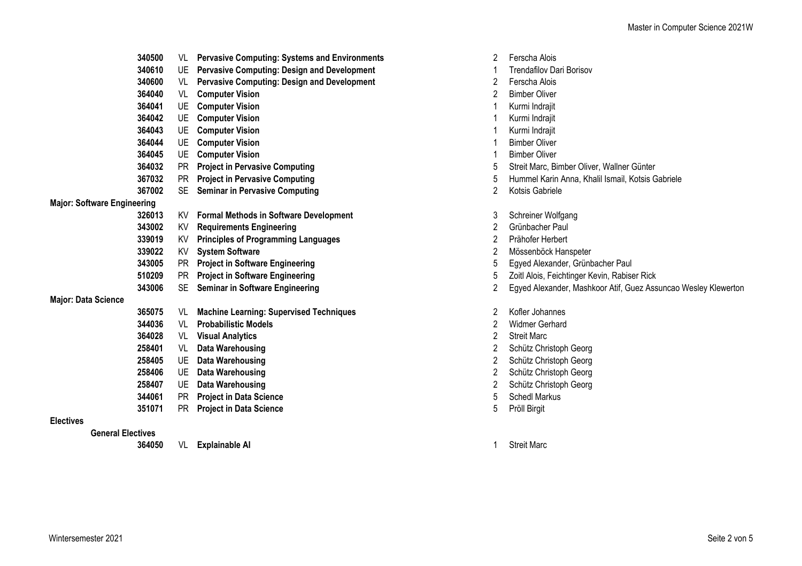|                                    | 340500 | VL        | <b>Pervasive Computing: Systems and Environments</b> | 2 | Ferscha Al         |
|------------------------------------|--------|-----------|------------------------------------------------------|---|--------------------|
|                                    | 340610 | UE.       | <b>Pervasive Computing: Design and Development</b>   | 1 | Trendafiloy        |
|                                    | 340600 | VL        | <b>Pervasive Computing: Design and Development</b>   | 2 | Ferscha Al         |
|                                    | 364040 | VL        | <b>Computer Vision</b>                               | 2 | <b>Bimber Oli</b>  |
|                                    | 364041 | UE        | <b>Computer Vision</b>                               | 1 | Kurmi Indr         |
|                                    | 364042 | UE        | <b>Computer Vision</b>                               | 1 | Kurmi Indr         |
|                                    | 364043 | UE        | <b>Computer Vision</b>                               |   | Kurmi Indr         |
|                                    | 364044 | UE        | <b>Computer Vision</b>                               | 1 | <b>Bimber Oli</b>  |
|                                    | 364045 | UE        | <b>Computer Vision</b>                               | 1 | <b>Bimber Oli</b>  |
|                                    | 364032 | <b>PR</b> | <b>Project in Pervasive Computing</b>                | 5 | <b>Streit Mard</b> |
|                                    | 367032 | <b>PR</b> | <b>Project in Pervasive Computing</b>                | 5 | Hummel K           |
|                                    | 367002 | <b>SE</b> | <b>Seminar in Pervasive Computing</b>                | 2 | Kotsis Gab         |
| <b>Major: Software Engineering</b> |        |           |                                                      |   |                    |
|                                    | 326013 | KV.       | <b>Formal Methods in Software Development</b>        | 3 | Schreiner \        |
|                                    | 343002 | KV        | <b>Requirements Engineering</b>                      | 2 | Grünbache          |
|                                    | 339019 | KV        | <b>Principles of Programming Languages</b>           | 2 | Prähofer H         |
|                                    | 339022 | KV        | <b>System Software</b>                               | 2 | Mössenbö           |
|                                    | 343005 | <b>PR</b> | <b>Project in Software Engineering</b>               | 5 | Egyed Ale:         |
|                                    | 510209 | <b>PR</b> | <b>Project in Software Engineering</b>               | 5 | Zoitl Alois,       |
|                                    | 343006 | SE        | <b>Seminar in Software Engineering</b>               | 2 | Egyed Ale:         |
| <b>Major: Data Science</b>         |        |           |                                                      |   |                    |
|                                    | 365075 | VL        | <b>Machine Learning: Supervised Techniques</b>       | 2 | Kofler Joha        |
|                                    | 344036 | VL        | <b>Probabilistic Models</b>                          | 2 | Widmer Go          |
|                                    | 364028 | VL        | <b>Visual Analytics</b>                              | 2 | <b>Streit Marc</b> |
|                                    | 258401 | VL        | <b>Data Warehousing</b>                              | 2 | Schütz Ch          |
|                                    | 258405 | UE        | <b>Data Warehousing</b>                              | 2 | Schütz Ch          |
|                                    | 258406 | UE        | <b>Data Warehousing</b>                              | 2 | Schütz Ch          |
|                                    | 258407 | UE        | <b>Data Warehousing</b>                              | 2 | Schütz Ch          |
|                                    | 344061 | <b>PR</b> | <b>Project in Data Science</b>                       | 5 | Schedl Ma          |
|                                    | 351071 | PR.       | <b>Project in Data Science</b>                       | 5 | Pröll Birgit       |

## **Electives**

**General Electives**

**364050** VL **Explainable AI 1** Streit Marc

- 2 Ferscha Alois
- **340610** UE **Pervasive Computing: Design and Development** 1 Trendafilov Dari Borisov
- 2 Ferscha Alois
- 2 Bimber Oliver
- **364041** UE **Computer Vision** 1 Kurmi Indrajit
- **364042** UE **Computer Vision** 1 Kurmi Indrajit
- **364043** UE **Computer Vision** 1 Kurmi Indrajit
- 1 Bimber Oliver
- **364045** UE **Computer Vision** 1 Bimber Oliver
- **364032** PR **Project in Pervasive Computing** 5 Streit Marc, Bimber Oliver, Wallner Günter
- **367032** PR **Project in Pervasive Computing** 5 Hummel Karin Anna, Khalil Ismail, Kotsis Gabriele
- **367002** SE **Seminar in Pervasive Computing** 2 Kotsis Gabriele
- 3 Schreiner Wolfgang
- 2 Grünbacher Paul
- **339019** KV **Principles of Programming Languages** 2 Prähofer Herbert
- **339022** KV **System Software** 2 Mössenböck Hanspeter
- **343005** PR **Project in Software Engineering** 5 Egyed Alexander, Grünbacher Paul
- 5 Zoitl Alois, Feichtinger Kevin, Rabiser Rick
- **343006** SE **Seminar in Software Engineering** 2 Egyed Alexander, Mashkoor Atif, Guez Assuncao Wesley Klewerton
- **365075** VL **Machine Learning: Supervised Techniques** 2 Kofler Johannes
- 2 Widmer Gerhard
- 
- 2 Schütz Christoph Georg
- 2 Schütz Christoph Georg
- 2 Schütz Christoph Georg
- 2 Schütz Christoph Georg
- 5 **Schedl Markus**
- 
-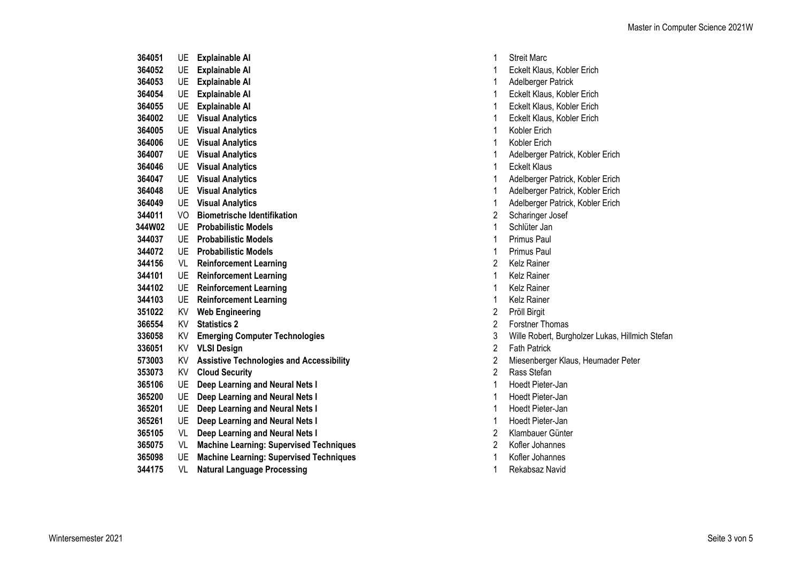| 364051         | UE.          | <b>Explainable AI</b>                           | 1              | <b>Streit Marc</b>  |
|----------------|--------------|-------------------------------------------------|----------------|---------------------|
| 364052         | UE           | <b>Explainable AI</b>                           | 1              | <b>Eckelt Klaus</b> |
| 364053         | UE           | <b>Explainable AI</b>                           | 1              | Adelberger F        |
| 364054         | UE           | <b>Explainable AI</b>                           | 1              | <b>Eckelt Klaus</b> |
| 364055         | UE           | <b>Explainable AI</b>                           | 1              | <b>Eckelt Klaus</b> |
| 364002         | <b>UE</b>    | <b>Visual Analytics</b>                         | 1              | <b>Eckelt Klaus</b> |
| 364005         | UE           | <b>Visual Analytics</b>                         | 1              | Kobler Erich        |
| 364006         | UE           | <b>Visual Analytics</b>                         | 1              | Kobler Erich        |
| 364007         | UE           | <b>Visual Analytics</b>                         | 1              | Adelberger F        |
| 364046         | <b>UE</b>    | <b>Visual Analytics</b>                         | 1              | <b>Eckelt Klaus</b> |
| 364047         | UE           | <b>Visual Analytics</b>                         | 1              | Adelberger I        |
| 364048         | <b>UE</b>    | <b>Visual Analytics</b>                         | 1              | Adelberger F        |
| 364049         | <b>UE</b>    | <b>Visual Analytics</b>                         | 1              | Adelberger F        |
| 344011         | VO.          | <b>Biometrische Identifikation</b>              | $\overline{2}$ | Scharinger J        |
| 344W02         | UE           | <b>Probabilistic Models</b>                     | 1              | Schlüter Jan        |
| 344037         | <b>UE</b>    | <b>Probabilistic Models</b>                     | 1              | Primus Paul         |
| 344072         | <b>UE</b>    | <b>Probabilistic Models</b>                     | 1              | Primus Paul         |
| 344156         | VL           | <b>Reinforcement Learning</b>                   | $\overline{2}$ | Kelz Rainer         |
| 344101         | UE           | <b>Reinforcement Learning</b>                   | 1              | Kelz Rainer         |
| 344102         | UE           | <b>Reinforcement Learning</b>                   | 1              | Kelz Rainer         |
| 344103         | UE           | <b>Reinforcement Learning</b>                   | 1              | <b>Kelz Rainer</b>  |
| 351022         | KV           | <b>Web Engineering</b>                          | $\overline{2}$ | Pröll Birgit        |
| 366554         | KV           | <b>Statistics 2</b>                             | $\overline{2}$ | Forstner Tho        |
| 336058         | KV           | <b>Emerging Computer Technologies</b>           | 3              | Wille Robert        |
| 336051         | KV           | <b>VLSI Design</b>                              | $\overline{2}$ | <b>Fath Patrick</b> |
| 573003         | KV           | <b>Assistive Technologies and Accessibility</b> | $\overline{2}$ | Miesenberge         |
| 353073         | KV.          | <b>Cloud Security</b>                           | $\overline{2}$ | Rass Stefan         |
| 365106         | UE           | Deep Learning and Neural Nets I                 | 1              | <b>Hoedt Pieter</b> |
| 365200         | UE           | Deep Learning and Neural Nets I                 | 1              | <b>Hoedt Pieter</b> |
| 365201         | UE           | Deep Learning and Neural Nets I                 | 1              | <b>Hoedt Pieter</b> |
| 365261         | UE           | Deep Learning and Neural Nets I                 | 1              | <b>Hoedt Pieter</b> |
| 365105         | VL           | Deep Learning and Neural Nets I                 | $\overline{2}$ | Klambauer (         |
| 365075         | VL           | <b>Machine Learning: Supervised Techniques</b>  | $\overline{2}$ | Kofler Johan        |
| 365098         | UE           | <b>Machine Learning: Supervised Techniques</b>  | 1              | Kofler Johan        |
| 9 <i>11475</i> | $\mathbf{u}$ | والممحمد معالمته والمتحددة                      |                | $D = L = L = -L$    |

VL **Natural Language Processing** 1 Rekabsaz Navid

- 
- 1 Eckelt Klaus, Kobler Erich
- Adelberger Patrick
- 1 Eckelt Klaus, Kobler Erich
- 1 Eckelt Klaus, Kobler Erich
- UE **Visual Analytics** 1 Eckelt Klaus, Kobler Erich
- 
- 
- UE **Visual Analytics** 1 Adelberger Patrick, Kobler Erich
- 
- UE **Visual Analytics** 1 Adelberger Patrick, Kobler Erich
- UE **Visual Analytics** 1 Adelberger Patrick, Kobler Erich
- UE **Visual Analytics** 1 Adelberger Patrick, Kobler Erich
- 2 Scharinger Josef
- 
- 
- 
- 
- 
- 
- 
- 
- KV **Statistics 2** 2 Forstner Thomas
- KV **Emerging Computer Technologies** 3 Wille Robert, Burgholzer Lukas, Hillmich Stefan
- 
- Miesenberger Klaus, Heumader Peter
	-
	- UE **Deep Learning and Neural Nets I** 1 Hoedt Pieter-Jan
	- 1 Hoedt Pieter-Jan
	- UE **Deep Learning and Neural Nets I** 1 Hoedt Pieter-Jan
	- UE **Deep Learning and Neural Nets I** 1 Hoedt Pieter-Jan
	- VL **Deep Learning and Neural Nets I** 2 Klambauer Günter
- VL **Machine Learning: Supervised Techniques** 2 Kofler Johannes
- **3650988 UE 1 Achine Learning: Supervised Techniques** 1 Kofler Johannes
	-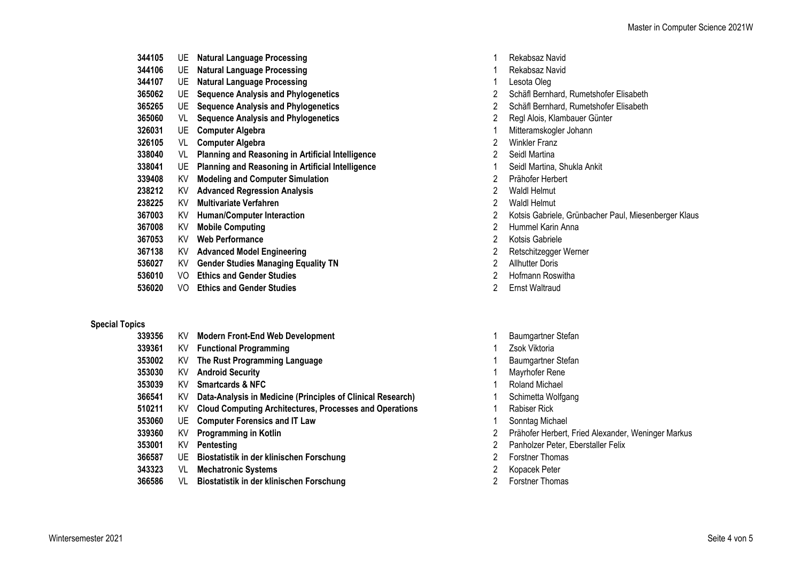| 344105 | UE. | <b>Natural Language Processing</b>                       |   | Rekabsaz Navi        |
|--------|-----|----------------------------------------------------------|---|----------------------|
| 344106 | UE  | <b>Natural Language Processing</b>                       |   | Rekabsaz Navi        |
| 344107 | UE  | <b>Natural Language Processing</b>                       |   | Lesota Oleg          |
| 365062 | UE  | <b>Sequence Analysis and Phylogenetics</b>               | 2 | Schäfl Bernhar       |
| 365265 | UE. | <b>Sequence Analysis and Phylogenetics</b>               | 2 | Schäfl Bernhar       |
| 365060 | VL  | <b>Sequence Analysis and Phylogenetics</b>               | 2 | Regl Alois, Klar     |
| 326031 | UE  | <b>Computer Algebra</b>                                  |   | Mitteramskogle       |
| 326105 | VL  | <b>Computer Algebra</b>                                  | 2 | <b>Winkler Franz</b> |
| 338040 | VL  | <b>Planning and Reasoning in Artificial Intelligence</b> | 2 | Seidl Martina        |
| 338041 | UE. | <b>Planning and Reasoning in Artificial Intelligence</b> |   | Seidl Martina, S     |
| 339408 | KV  | <b>Modeling and Computer Simulation</b>                  | 2 | Prähofer Herbe       |
| 238212 | KV  | <b>Advanced Regression Analysis</b>                      | 2 | Waldl Helmut         |
| 238225 | KV  | <b>Multivariate Verfahren</b>                            | 2 | Waldl Helmut         |
| 367003 | KV  | <b>Human/Computer Interaction</b>                        | 2 | Kotsis Gabriele      |
| 367008 | KV  | <b>Mobile Computing</b>                                  | 2 | Hummel Karin         |
| 367053 | KV  | <b>Web Performance</b>                                   | 2 | Kotsis Gabriele      |
| 367138 | KV  | <b>Advanced Model Engineering</b>                        | 2 | Retschitzegger       |
| 536027 | KV  | <b>Gender Studies Managing Equality TN</b>               | 2 | Allhutter Doris      |
| 536010 | VO  | <b>Ethics and Gender Studies</b>                         | 2 | Hofmann Rosw         |
| 536020 | VO  | <b>Ethics and Gender Studies</b>                         | 2 | Ernst Waltraud       |

## **Special Topics**

| 339356 | ΚV   | <b>Modern Front-End Web Development</b>                        |   | Baumgartner         |
|--------|------|----------------------------------------------------------------|---|---------------------|
| 339361 | KV   | <b>Functional Programming</b>                                  |   | Zsok Viktoria       |
| 353002 | ΚV   | The Rust Programming Language                                  |   | Baumgartner         |
| 353030 | ΚV   | <b>Android Security</b>                                        |   | Mayrhofer Re        |
| 353039 | ΚV   | <b>Smartcards &amp; NFC</b>                                    |   | Roland Mich         |
| 366541 | ΚV   | Data-Analysis in Medicine (Principles of Clinical Research)    |   | Schimetta W         |
| 510211 | KV.  | <b>Cloud Computing Architectures, Processes and Operations</b> |   | <b>Rabiser Rick</b> |
| 353060 |      | UE Computer Forensics and IT Law                               |   | Sonntag Mic         |
| 339360 | ΚV   | Programming in Kotlin                                          | 2 | Prähofer Her        |
| 353001 | ΚV   | Pentesting                                                     | 2 | Panholzer Pe        |
| 366587 | UE.  | Biostatistik in der klinischen Forschung                       | 2 | <b>Forstner Tho</b> |
| 212222 | \ /I | Mochatronic Quetame                                            | റ | Kongook Dot         |

- VL **Mechatronic Systems** 2 Kopacek Peter
- VL **Biostatistik in der klinischen Forschung** 2 Forstner Thomas
- 1 Rekabsaz Navid
- 1 Rekabsaz Navid
- 1 Lesota Oleg
- UE **Sequence Analysis and Phylogenetics** 2 Schäfl Bernhard, Rumetshofer Elisabeth
- UE **Sequence Analysis and Phylogenetics** 2 Schäfl Bernhard, Rumetshofer Elisabeth
- VL **Sequence Analysis and Phylogenetics** 2 Regl Alois, Klambauer Günter
- UE **Computer Algebra** 1 Mitteramskogler Johann
- 2 Winkler Franz
- 
- UE **Planning and Reasoning in Artificial Intelligence** 1 Seidl Martina, Shukla Ankit
	- KV **Modeling and Computer Simulation** 2 Prähofer Herbert
	-
	-
	- KV **Human/Computer Interaction** 2 Kotsis Gabriele, Grünbacher Paul, Miesenberger Klaus
	- KV **Mobile Computing** 2 Hummel Karin Anna
	- 2 Kotsis Gabriele
	- KV **Advanced Model Engineering** 2 Retschitzegger Werner
	-
	- VO **Ethics and Gender Studies** 2 Hofmann Roswitha
	-
	- KV **Modern Front-End Web Development** 1 Baumgartner Stefan
	-
	- 1 Baumgartner Stefan
	- KV **Android Security** 1 Mayrhofer Rene
	- 1 Roland Michael
	- **3666411 Kesearch)** 1 Schimetta Wolfgang
		-
		- 1 Sonntag Michael
		- KV **Programming in Kotlin** 2 Prähofer Herbert, Fried Alexander, Weninger Markus
		- 2 Panholzer Peter, Eberstaller Felix
		- UE **Biostatistik in der klinischen Forschung** 2 Forstner Thomas
		-
		-